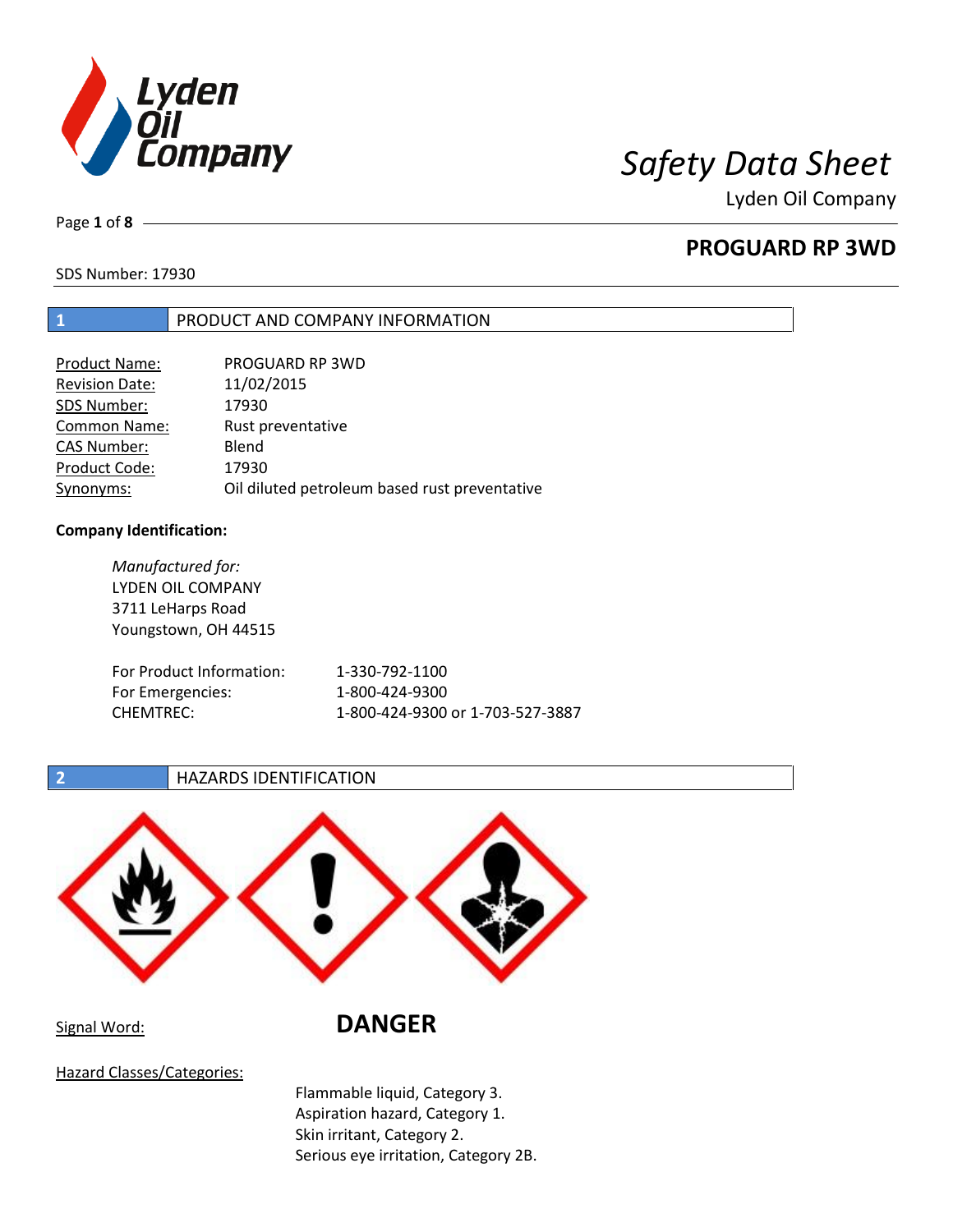

Page **1** of **8**

# **PROGUARD RP 3WD**

SDS Number: 17930

### **1** PRODUCT AND COMPANY INFORMATION

| <b>Product Name:</b>  | PROGUARD RP 3WD                               |
|-----------------------|-----------------------------------------------|
| <b>Revision Date:</b> | 11/02/2015                                    |
| SDS Number:           | 17930                                         |
| <b>Common Name:</b>   | Rust preventative                             |
| <b>CAS Number:</b>    | Blend                                         |
| Product Code:         | 17930                                         |
| Synonyms:             | Oil diluted petroleum based rust preventative |

### **Company Identification:**

*Manufactured for:* LYDEN OIL COMPANY 3711 LeHarps Road Youngstown, OH 44515 For Product Information: 1-330-792-1100 For Emergencies: 1-800-424-9300 CHEMTREC: 1-800-424-9300 or 1-703-527-3887

### **2 HAZARDS IDENTIFICATION**



# Signal Word: **DANGER**

Hazard Classes/Categories:

Flammable liquid, Category 3. Aspiration hazard, Category 1. Skin irritant, Category 2. Serious eye irritation, Category 2B.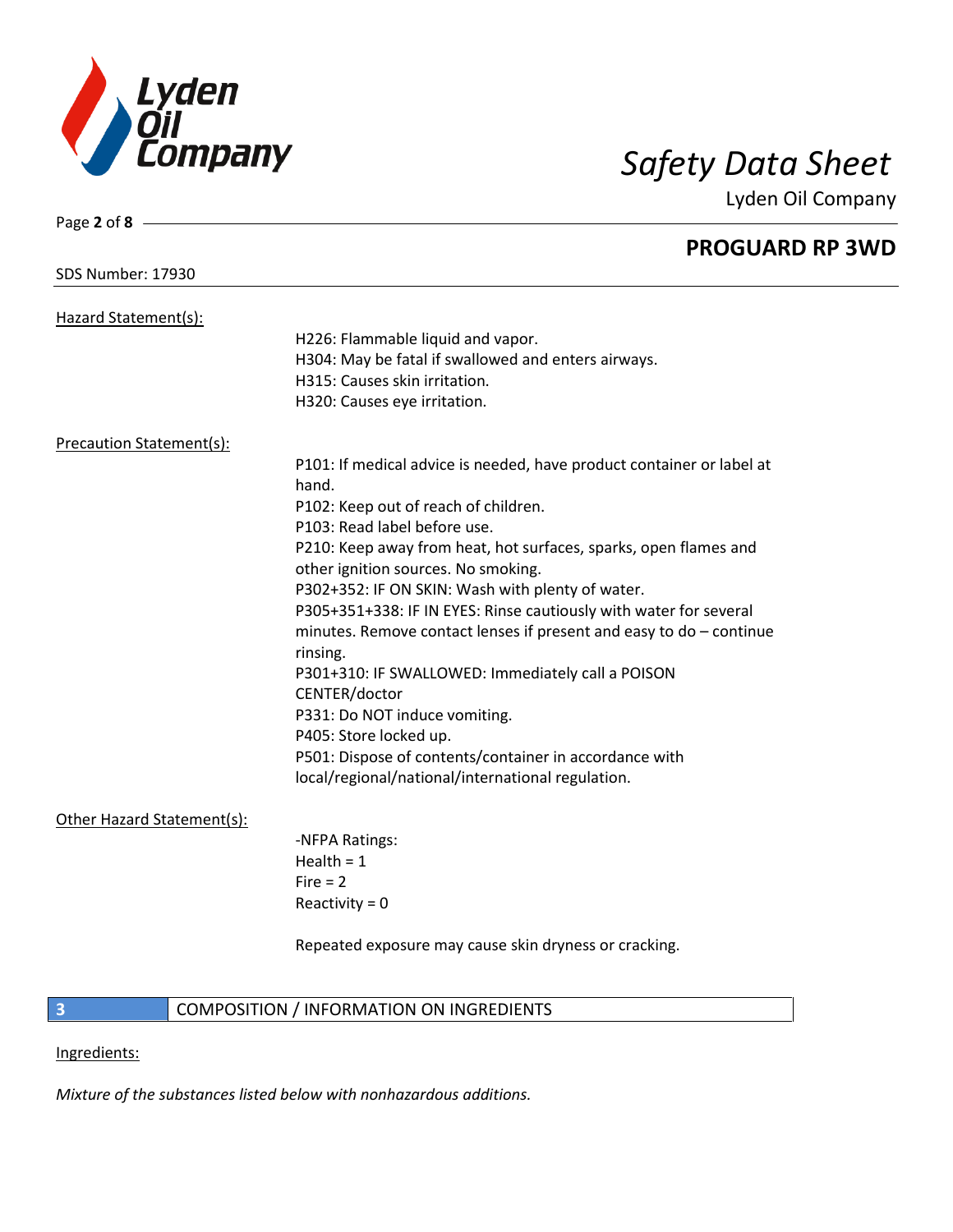

Page **2** of **8**

Lyden Oil Company

## **PROGUARD RP 3WD**

| SDS Number: 17930               |                                                                       |
|---------------------------------|-----------------------------------------------------------------------|
| Hazard Statement(s):            |                                                                       |
|                                 | H226: Flammable liquid and vapor.                                     |
|                                 | H304: May be fatal if swallowed and enters airways.                   |
|                                 | H315: Causes skin irritation.                                         |
|                                 | H320: Causes eye irritation.                                          |
|                                 |                                                                       |
| <b>Precaution Statement(s):</b> |                                                                       |
|                                 | P101: If medical advice is needed, have product container or label at |
|                                 | hand.                                                                 |
|                                 | P102: Keep out of reach of children.                                  |
|                                 | P103: Read label before use.                                          |
|                                 | P210: Keep away from heat, hot surfaces, sparks, open flames and      |
|                                 | other ignition sources. No smoking.                                   |
|                                 | P302+352: IF ON SKIN: Wash with plenty of water.                      |
|                                 | P305+351+338: IF IN EYES: Rinse cautiously with water for several     |
|                                 | minutes. Remove contact lenses if present and easy to do - continue   |
|                                 | rinsing.                                                              |
|                                 | P301+310: IF SWALLOWED: Immediately call a POISON                     |
|                                 | CENTER/doctor                                                         |
|                                 | P331: Do NOT induce vomiting.                                         |
|                                 | P405: Store locked up.                                                |
|                                 | P501: Dispose of contents/container in accordance with                |
|                                 | local/regional/national/international regulation.                     |
| Other Hazard Statement(s):      |                                                                       |
|                                 | -NFPA Ratings:                                                        |
|                                 | Health $= 1$                                                          |
|                                 | $Fire = 2$                                                            |
|                                 | Reactivity = $0$                                                      |
|                                 |                                                                       |
|                                 | Repeated exposure may cause skin dryness or cracking.                 |
|                                 |                                                                       |
|                                 |                                                                       |

## **3 COMPOSITION** / INFORMATION ON INGREDIENTS

Ingredients:

*Mixture of the substances listed below with nonhazardous additions.*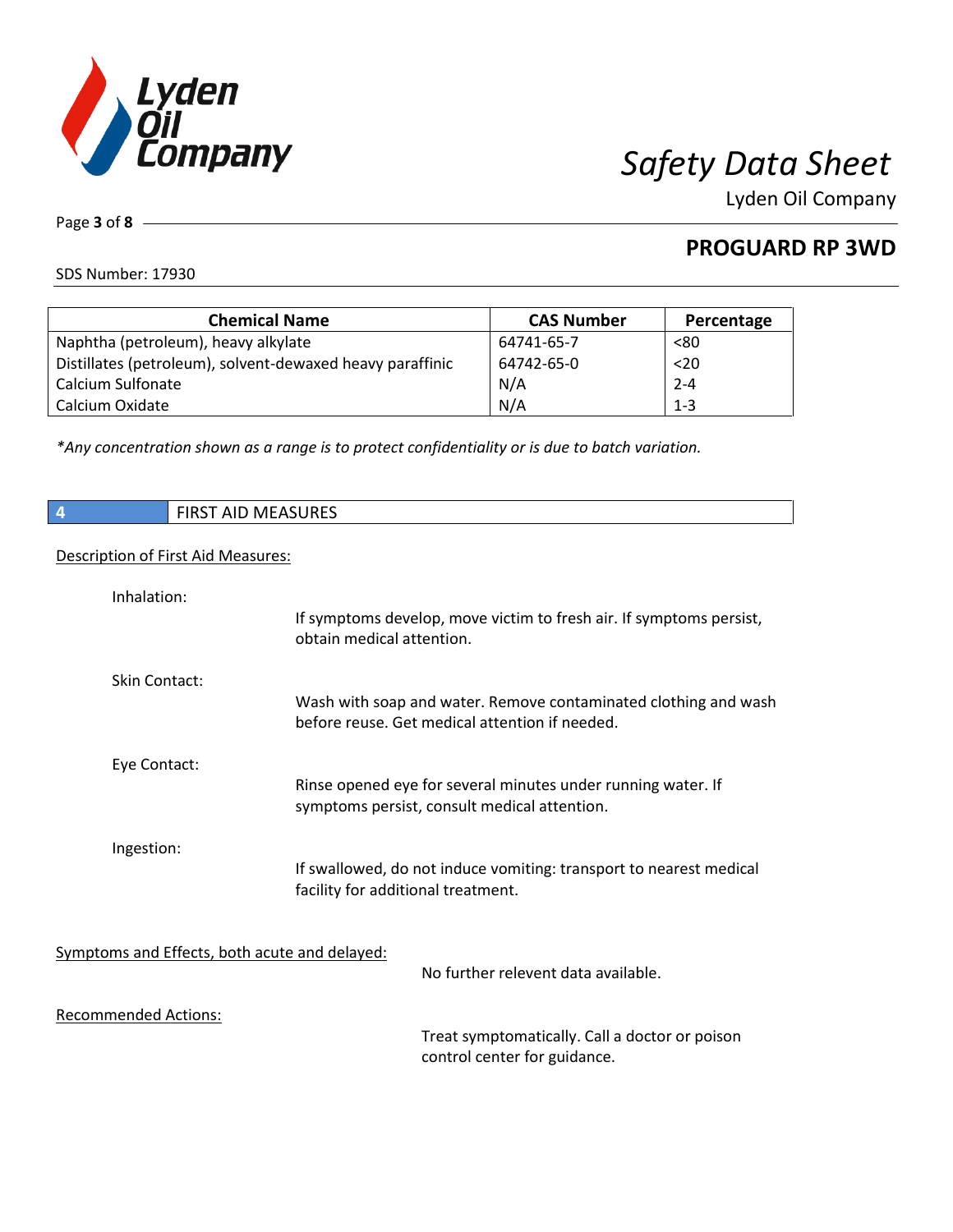

**PROGUARD RP 3WD**

SDS Number: 17930

Page **3** of **8**

| <b>Chemical Name</b>                                      | <b>CAS Number</b> | Percentage |
|-----------------------------------------------------------|-------------------|------------|
| Naphtha (petroleum), heavy alkylate                       | 64741-65-7        | < 80       |
| Distillates (petroleum), solvent-dewaxed heavy paraffinic | 64742-65-0        | $20$       |
| Calcium Sulfonate                                         | N/A               | $2 - 4$    |
| Calcium Oxidate                                           | N/A               | $1 - 3$    |

*\*Any concentration shown as a range is to protect confidentiality or is due to batch variation.*

| $\overline{4}$<br><b>FIRST AID MEASURES</b> |                                                                                                                   |
|---------------------------------------------|-------------------------------------------------------------------------------------------------------------------|
| Description of First Aid Measures:          |                                                                                                                   |
| Inhalation:                                 | If symptoms develop, move victim to fresh air. If symptoms persist,<br>obtain medical attention.                  |
| Skin Contact:                               | Wash with soap and water. Remove contaminated clothing and wash<br>before reuse. Get medical attention if needed. |
| Eye Contact:                                | Rinse opened eye for several minutes under running water. If<br>symptoms persist, consult medical attention.      |
| Ingestion:                                  | If swallowed, do not induce vomiting: transport to nearest medical<br>facility for additional treatment.          |

Symptoms and Effects, both acute and delayed:

No further relevent data available.

Recommended Actions:

Treat symptomatically. Call a doctor or poison control center for guidance.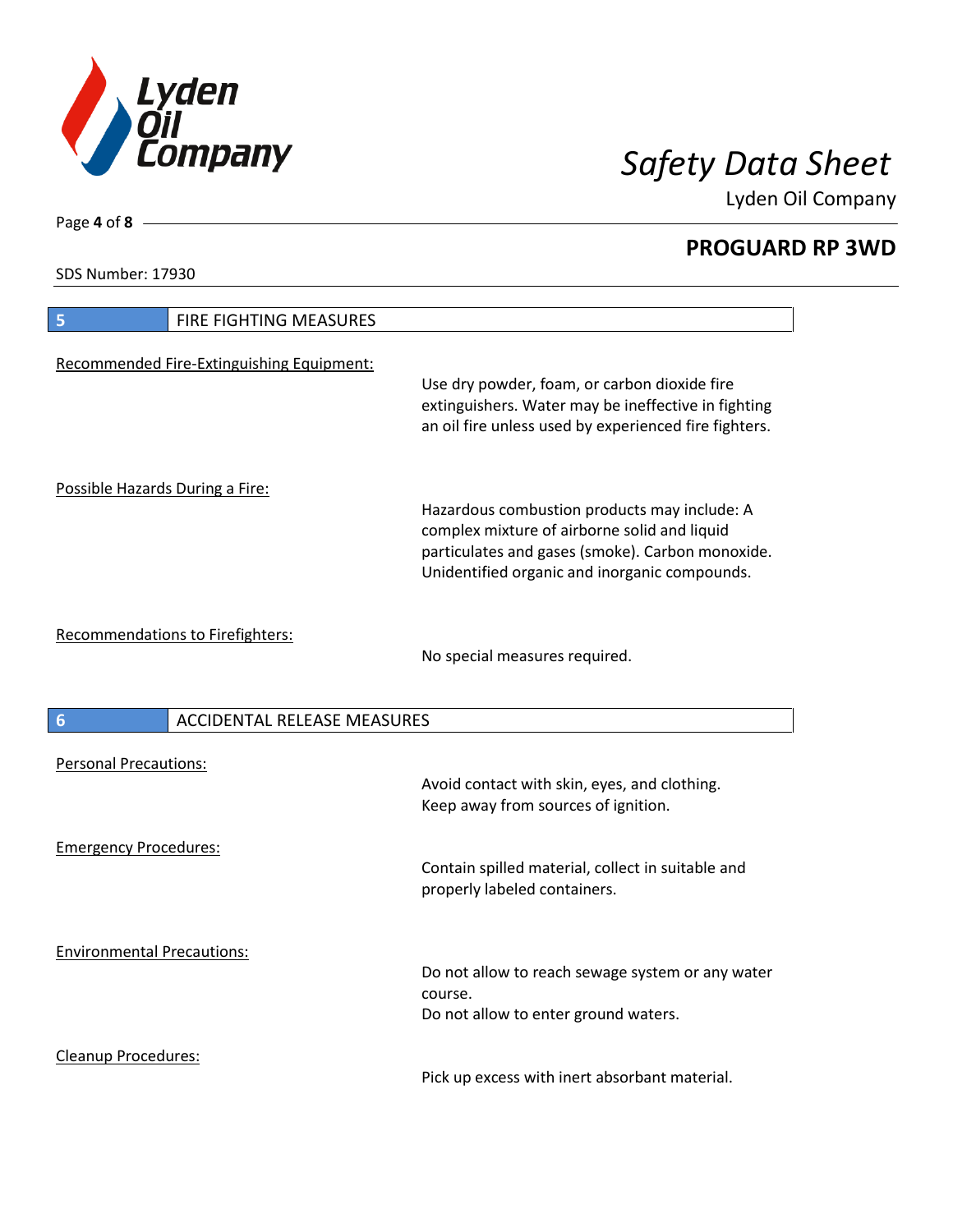

**PROGUARD RP 3WD**

SDS Number: 17930

Page **4** of **8**

| 5                                 | FIRE FIGHTING MEASURES                    |                                                                                                                                                              |
|-----------------------------------|-------------------------------------------|--------------------------------------------------------------------------------------------------------------------------------------------------------------|
|                                   | Recommended Fire-Extinguishing Equipment: | Use dry powder, foam, or carbon dioxide fire<br>extinguishers. Water may be ineffective in fighting<br>an oil fire unless used by experienced fire fighters. |
| Possible Hazards During a Fire:   |                                           | Hazardous combustion products may include: A<br>complex mixture of airborne solid and liquid                                                                 |
|                                   |                                           | particulates and gases (smoke). Carbon monoxide.<br>Unidentified organic and inorganic compounds.                                                            |
|                                   | Recommendations to Firefighters:          | No special measures required.                                                                                                                                |
| $6\phantom{1}6$                   | <b>ACCIDENTAL RELEASE MEASURES</b>        |                                                                                                                                                              |
| <b>Personal Precautions:</b>      |                                           | Avoid contact with skin, eyes, and clothing.<br>Keep away from sources of ignition.                                                                          |
| <b>Emergency Procedures:</b>      |                                           | Contain spilled material, collect in suitable and<br>properly labeled containers.                                                                            |
| <b>Environmental Precautions:</b> |                                           | Do not allow to reach sewage system or any water<br>course.<br>Do not allow to enter ground waters.                                                          |
| Cleanup Procedures:               |                                           | Pick up excess with inert absorbant material.                                                                                                                |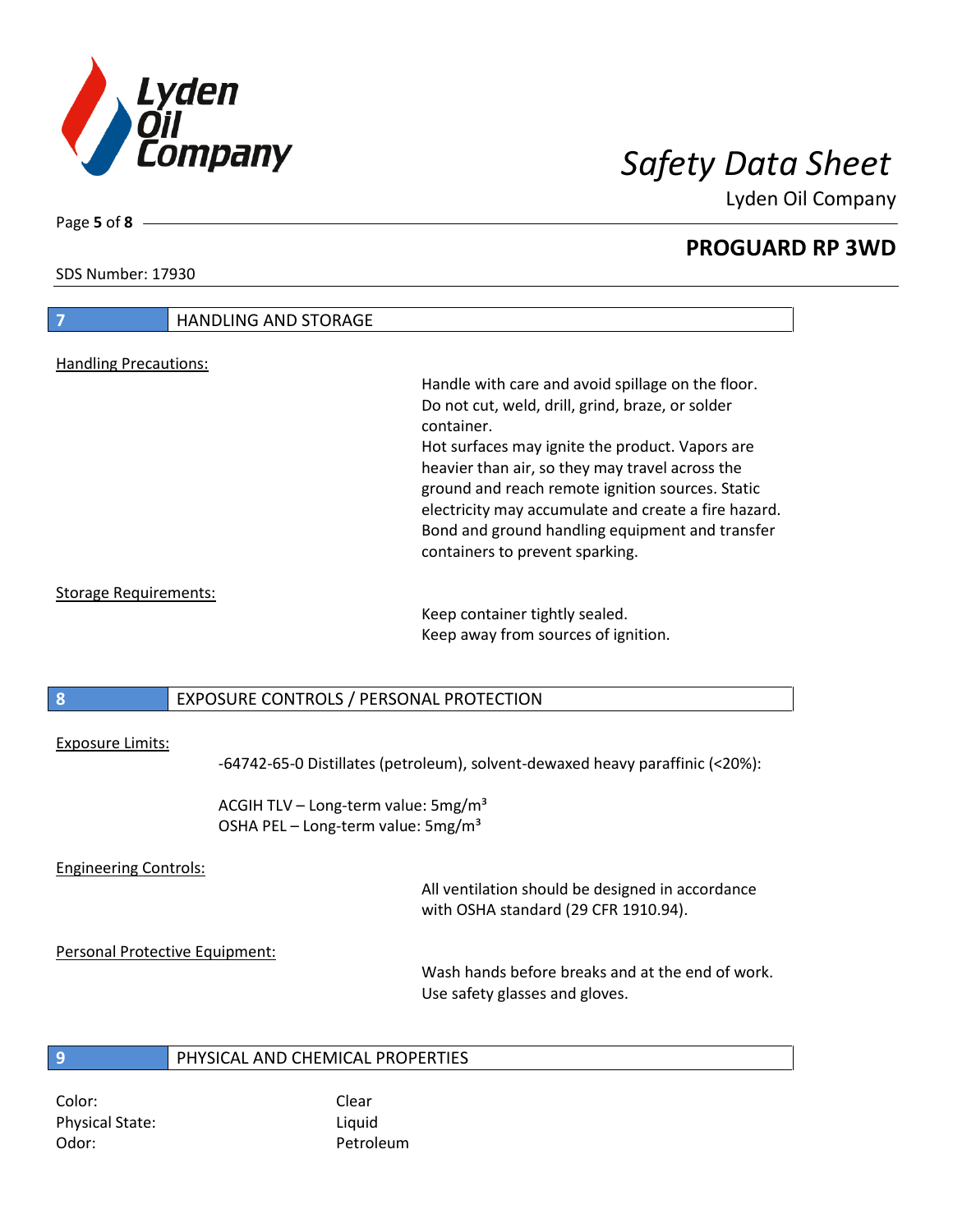

**PROGUARD RP 3WD**

SDS Number: 17930

# **7** HANDLING AND STORAGE Handling Precautions: Handle with care and avoid spillage on the floor. Do not cut, weld, drill, grind, braze, or solder container. Hot surfaces may ignite the product. Vapors are heavier than air, so they may travel across the ground and reach remote ignition sources. Static electricity may accumulate and create a fire hazard. Bond and ground handling equipment and transfer containers to prevent sparking. Storage Requirements: Keep container tightly sealed. Keep away from sources of ignition.

### **8** EXPOSURE CONTROLS / PERSONAL PROTECTION

### Exposure Limits:

-64742-65-0 Distillates (petroleum), solvent-dewaxed heavy paraffinic (<20%):

ACGIH TLV – Long-term value:  $5mg/m<sup>3</sup>$ OSHA PEL – Long-term value: 5mg/m<sup>3</sup>

### Engineering Controls:

All ventilation should be designed in accordance with OSHA standard (29 CFR 1910.94).

### Personal Protective Equipment:

Wash hands before breaks and at the end of work. Use safety glasses and gloves.

### **9** PHYSICAL AND CHEMICAL PROPERTIES

Color: Color: Clear Physical State: Liquid Odor: Petroleum

Page **5** of **8**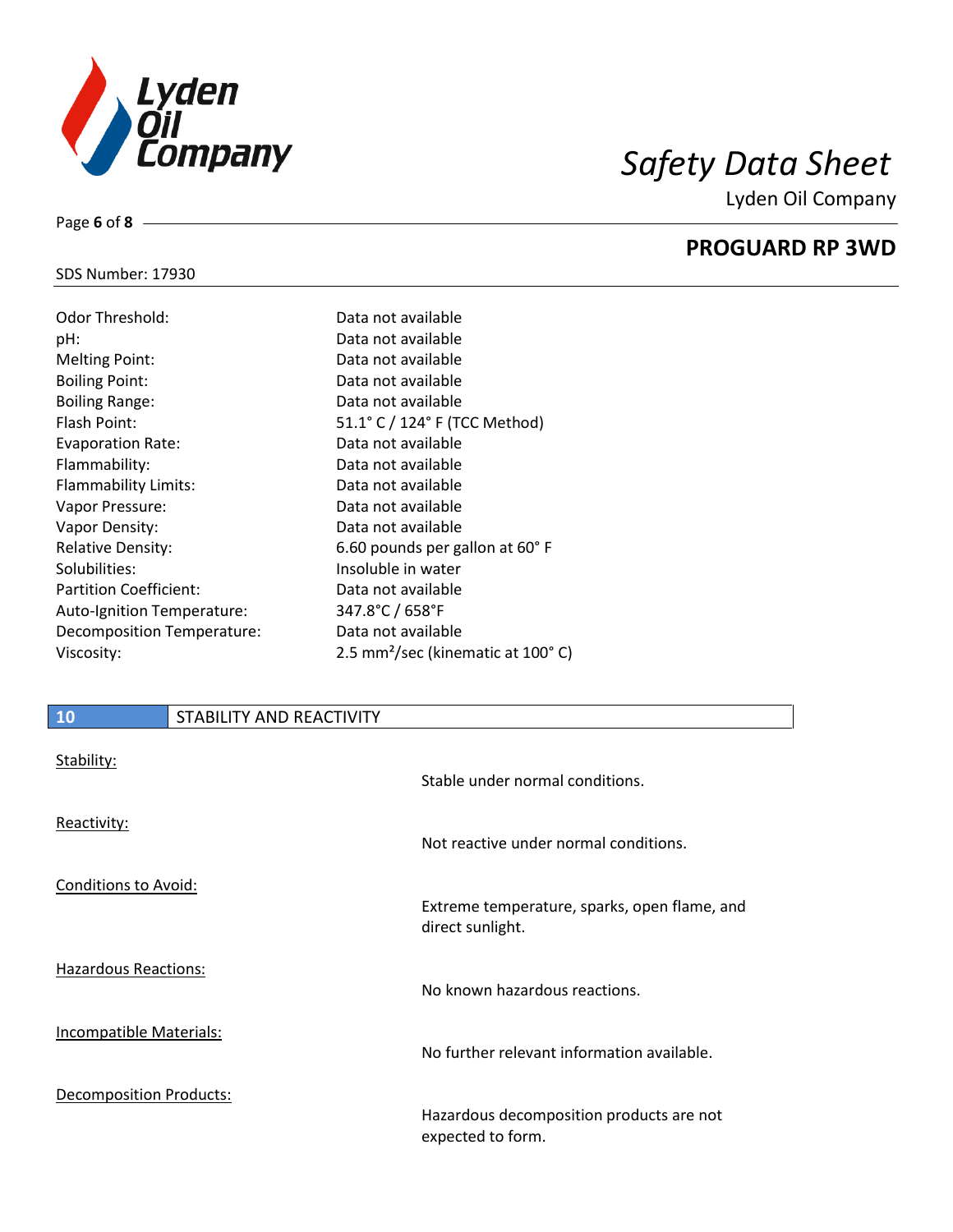

## SDS Number: 17930

Page **6** of **8**

| Odor Threshold:               | Data not available                            |
|-------------------------------|-----------------------------------------------|
| pH:                           | Data not available                            |
| <b>Melting Point:</b>         | Data not available                            |
| <b>Boiling Point:</b>         | Data not available                            |
| <b>Boiling Range:</b>         | Data not available                            |
| Flash Point:                  | 51.1° C / 124° F (TCC Method)                 |
| <b>Evaporation Rate:</b>      | Data not available                            |
| Flammability:                 | Data not available                            |
| Flammability Limits:          | Data not available                            |
| Vapor Pressure:               | Data not available                            |
| Vapor Density:                | Data not available                            |
| <b>Relative Density:</b>      | 6.60 pounds per gallon at 60°F                |
| Solubilities:                 | Insoluble in water                            |
| <b>Partition Coefficient:</b> | Data not available                            |
| Auto-Ignition Temperature:    | 347.8°C / 658°F                               |
| Decomposition Temperature:    | Data not available                            |
| Viscosity:                    | 2.5 mm <sup>2</sup> /sec (kinematic at 100°C) |

| Data not available                            |
|-----------------------------------------------|
| Data not available                            |
| Data not available                            |
| Data not available                            |
| Data not available                            |
| 51.1° C / 124° F (TCC Method)                 |
| Data not available                            |
| Data not available                            |
| Data not available                            |
| Data not available                            |
| Data not available                            |
| 6.60 pounds per gallon at 60°F                |
| Insoluble in water                            |
| Data not available                            |
| 347.8°C / 658°F                               |
| Data not available                            |
| 2.5 mm <sup>2</sup> /sec (kinematic at 100°C) |
|                                               |

| 10                             | STABILITY AND REACTIVITY |                                                                  |
|--------------------------------|--------------------------|------------------------------------------------------------------|
| Stability:                     |                          | Stable under normal conditions.                                  |
| Reactivity:                    |                          | Not reactive under normal conditions.                            |
| <b>Conditions to Avoid:</b>    |                          | Extreme temperature, sparks, open flame, and<br>direct sunlight. |
| <b>Hazardous Reactions:</b>    |                          | No known hazardous reactions.                                    |
| Incompatible Materials:        |                          | No further relevant information available.                       |
| <b>Decomposition Products:</b> |                          | Hazardous decomposition products are not<br>expected to form.    |

# **PROGUARD RP 3WD**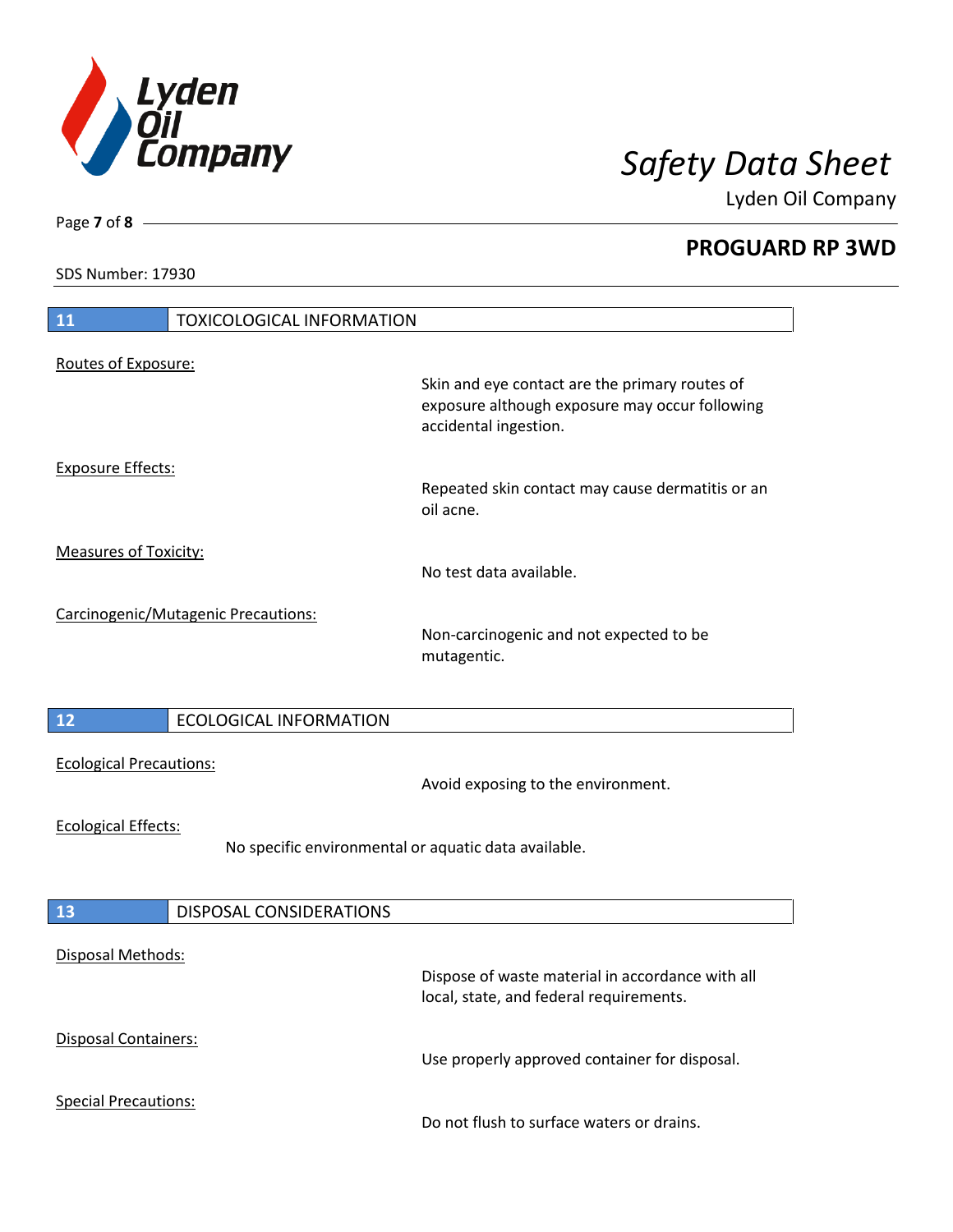

**PROGUARD RP 3WD**

SDS Number: 17930

Page **7** of **8**

| 11<br><b>TOXICOLOGICAL INFORMATION</b>                                             |                                                                                                                           |
|------------------------------------------------------------------------------------|---------------------------------------------------------------------------------------------------------------------------|
| Routes of Exposure:                                                                |                                                                                                                           |
|                                                                                    | Skin and eye contact are the primary routes of<br>exposure although exposure may occur following<br>accidental ingestion. |
| <b>Exposure Effects:</b>                                                           | Repeated skin contact may cause dermatitis or an<br>oil acne.                                                             |
| <b>Measures of Toxicity:</b>                                                       | No test data available.                                                                                                   |
| Carcinogenic/Mutagenic Precautions:                                                | Non-carcinogenic and not expected to be<br>mutagentic.                                                                    |
| $\begin{array}{c} 12 \end{array}$<br><b>ECOLOGICAL INFORMATION</b>                 |                                                                                                                           |
| <b>Ecological Precautions:</b>                                                     | Avoid exposing to the environment.                                                                                        |
| <b>Ecological Effects:</b><br>No specific environmental or aquatic data available. |                                                                                                                           |
| <b>13</b><br><b>DISPOSAL CONSIDERATIONS</b>                                        |                                                                                                                           |
|                                                                                    |                                                                                                                           |
| Disposal Methods:                                                                  | Dispose of waste material in accordance with all<br>local, state, and federal requirements.                               |
| Disposal Containers:                                                               | Use properly approved container for disposal.                                                                             |
| <b>Special Precautions:</b>                                                        | Do not flush to surface waters or drains.                                                                                 |